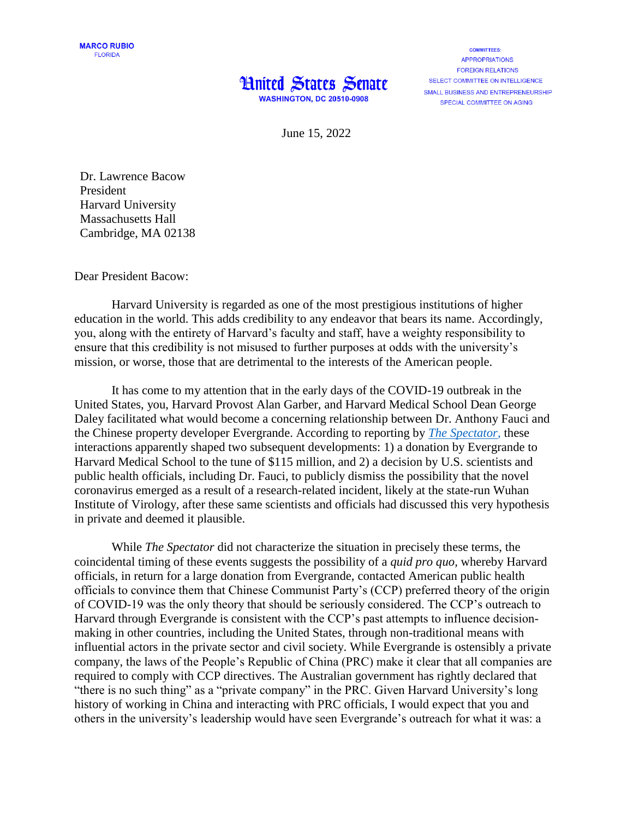

**COMMITTEES: APPROPRIATIONS FORFIGN RELATIONS** SELECT COMMITTEE ON INTELLIGENCE SMALL BUSINESS AND ENTREPRENEURSHIP SPECIAL COMMITTEE ON AGING

June 15, 2022

Dr. Lawrence Bacow President Harvard University Massachusetts Hall Cambridge, MA 02138

Dear President Bacow:

Harvard University is regarded as one of the most prestigious institutions of higher education in the world. This adds credibility to any endeavor that bears its name. Accordingly, you, along with the entirety of Harvard's faculty and staff, have a weighty responsibility to ensure that this credibility is not misused to further purposes at odds with the university's mission, or worse, those that are detrimental to the interests of the American people.

It has come to my attention that in the early days of the COVID-19 outbreak in the United States, you, Harvard Provost Alan Garber, and Harvard Medical School Dean George Daley facilitated what would become a concerning relationship between Dr. Anthony Fauci and the Chinese property developer Evergrande. According to reporting by *[The Spectator](https://spectatorworld.com/topic/fauci-harvard-and-the-ccp/)*, these interactions apparently shaped two subsequent developments: 1) a donation by Evergrande to Harvard Medical School to the tune of \$115 million, and 2) a decision by U.S. scientists and public health officials, including Dr. Fauci, to publicly dismiss the possibility that the novel coronavirus emerged as a result of a research-related incident, likely at the state-run Wuhan Institute of Virology, after these same scientists and officials had discussed this very hypothesis in private and deemed it plausible.

While *The Spectator* did not characterize the situation in precisely these terms, the coincidental timing of these events suggests the possibility of a *quid pro quo,* whereby Harvard officials, in return for a large donation from Evergrande, contacted American public health officials to convince them that Chinese Communist Party's (CCP) preferred theory of the origin of COVID-19 was the only theory that should be seriously considered. The CCP's outreach to Harvard through Evergrande is consistent with the CCP's past attempts to influence decisionmaking in other countries, including the United States, through non-traditional means with influential actors in the private sector and civil society. While Evergrande is ostensibly a private company, the laws of the People's Republic of China (PRC) make it clear that all companies are required to comply with CCP directives. The Australian government has rightly declared that "there is no such thing" as a "private company" in the PRC. Given Harvard University's long history of working in China and interacting with PRC officials, I would expect that you and others in the university's leadership would have seen Evergrande's outreach for what it was: a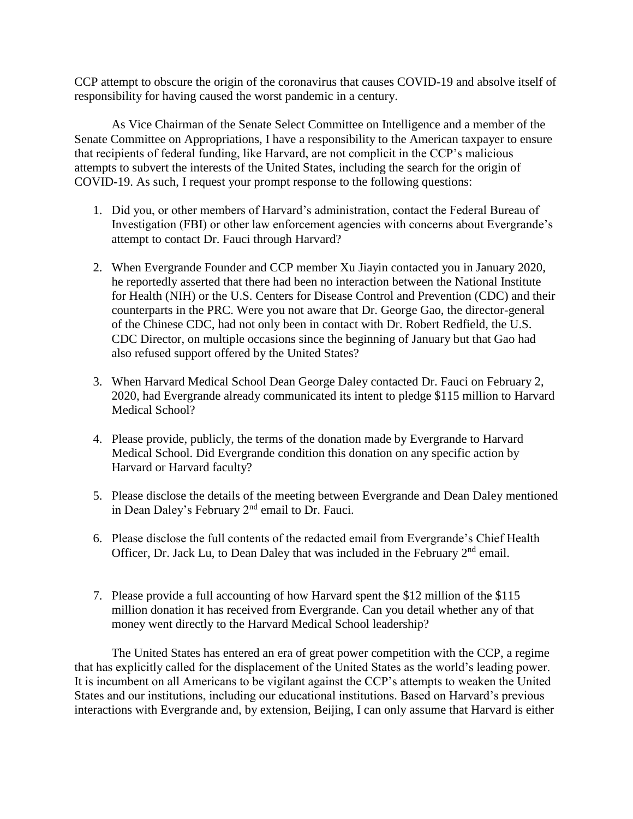CCP attempt to obscure the origin of the coronavirus that causes COVID-19 and absolve itself of responsibility for having caused the worst pandemic in a century.

As Vice Chairman of the Senate Select Committee on Intelligence and a member of the Senate Committee on Appropriations, I have a responsibility to the American taxpayer to ensure that recipients of federal funding, like Harvard, are not complicit in the CCP's malicious attempts to subvert the interests of the United States, including the search for the origin of COVID-19. As such, I request your prompt response to the following questions:

- 1. Did you, or other members of Harvard's administration, contact the Federal Bureau of Investigation (FBI) or other law enforcement agencies with concerns about Evergrande's attempt to contact Dr. Fauci through Harvard?
- 2. When Evergrande Founder and CCP member Xu Jiayin contacted you in January 2020, he reportedly asserted that there had been no interaction between the National Institute for Health (NIH) or the U.S. Centers for Disease Control and Prevention (CDC) and their counterparts in the PRC. Were you not aware that Dr. George Gao, the director-general of the Chinese CDC, had not only been in contact with Dr. Robert Redfield, the U.S. CDC Director, on multiple occasions since the beginning of January but that Gao had also refused support offered by the United States?
- 3. When Harvard Medical School Dean George Daley contacted Dr. Fauci on February 2, 2020, had Evergrande already communicated its intent to pledge \$115 million to Harvard Medical School?
- 4. Please provide, publicly, the terms of the donation made by Evergrande to Harvard Medical School. Did Evergrande condition this donation on any specific action by Harvard or Harvard faculty?
- 5. Please disclose the details of the meeting between Evergrande and Dean Daley mentioned in Dean Daley's February 2nd email to Dr. Fauci.
- 6. Please disclose the full contents of the redacted email from Evergrande's Chief Health Officer, Dr. Jack Lu, to Dean Daley that was included in the February  $2<sup>nd</sup>$  email.
- 7. Please provide a full accounting of how Harvard spent the \$12 million of the \$115 million donation it has received from Evergrande. Can you detail whether any of that money went directly to the Harvard Medical School leadership?

The United States has entered an era of great power competition with the CCP, a regime that has explicitly called for the displacement of the United States as the world's leading power. It is incumbent on all Americans to be vigilant against the CCP's attempts to weaken the United States and our institutions, including our educational institutions. Based on Harvard's previous interactions with Evergrande and, by extension, Beijing, I can only assume that Harvard is either